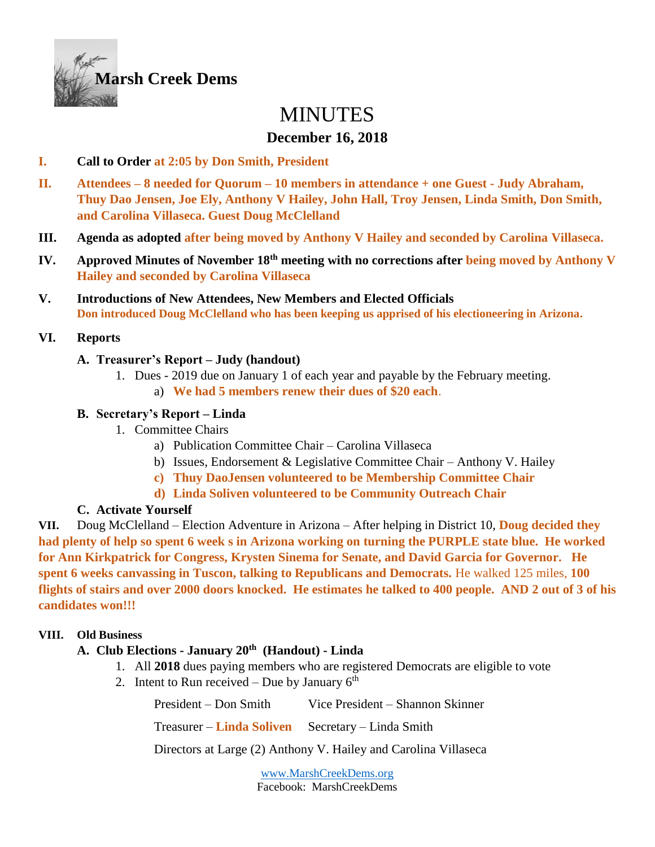

# MINUTES

# **December 16, 2018**

- **I. Call to Order at 2:05 by Don Smith, President**
- **II. Attendees – 8 needed for Quorum – 10 members in attendance + one Guest - Judy Abraham, Thuy Dao Jensen, Joe Ely, Anthony V Hailey, John Hall, Troy Jensen, Linda Smith, Don Smith, and Carolina Villaseca. Guest Doug McClelland**
- **III. Agenda as adopted after being moved by Anthony V Hailey and seconded by Carolina Villaseca.**
- **IV. Approved Minutes of November 18th meeting with no corrections after being moved by Anthony V Hailey and seconded by Carolina Villaseca**
- **V. Introductions of New Attendees, New Members and Elected Officials Don introduced Doug McClelland who has been keeping us apprised of his electioneering in Arizona.**

#### **VI. Reports**

#### **A. Treasurer's Report – Judy (handout)**

- 1. Dues 2019 due on January 1 of each year and payable by the February meeting.
	- a) **We had 5 members renew their dues of \$20 each**.

#### **B. Secretary's Report – Linda**

- 1. Committee Chairs
	- a) Publication Committee Chair Carolina Villaseca
	- b) Issues, Endorsement & Legislative Committee Chair Anthony V. Hailey
	- **c) Thuy DaoJensen volunteered to be Membership Committee Chair**
	- **d) Linda Soliven volunteered to be Community Outreach Chair**

#### **C. Activate Yourself**

**VII.** Doug McClelland – Election Adventure in Arizona – After helping in District 10, **Doug decided they had plenty of help so spent 6 week s in Arizona working on turning the PURPLE state blue. He worked for Ann Kirkpatrick for Congress, Krysten Sinema for Senate, and David Garcia for Governor. He spent 6 weeks canvassing in Tuscon, talking to Republicans and Democrats.** He walked 125 miles, **100 flights of stairs and over 2000 doors knocked. He estimates he talked to 400 people. AND 2 out of 3 of his candidates won!!!**

#### **VIII. Old Business**

#### **A. Club Elections - January 20th (Handout) - Linda**

- 1. All **2018** dues paying members who are registered Democrats are eligible to vote
- 2. Intent to Run received Due by January  $6<sup>th</sup>$

President – Don Smith Vice President – Shannon Skinner Treasurer – **Linda Soliven** Secretary – Linda Smith

Directors at Large (2) Anthony V. Hailey and Carolina Villaseca

[www.MarshCreekDems.org](http://www.marshcreekdems.org/) Facebook: MarshCreekDems